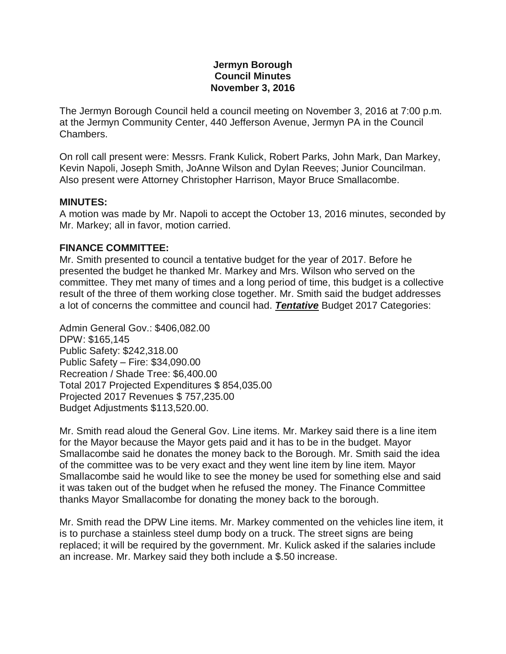### **Jermyn Borough Council Minutes November 3, 2016**

The Jermyn Borough Council held a council meeting on November 3, 2016 at 7:00 p.m. at the Jermyn Community Center, 440 Jefferson Avenue, Jermyn PA in the Council Chambers.

On roll call present were: Messrs. Frank Kulick, Robert Parks, John Mark, Dan Markey, Kevin Napoli, Joseph Smith, JoAnne Wilson and Dylan Reeves; Junior Councilman. Also present were Attorney Christopher Harrison, Mayor Bruce Smallacombe.

### **MINUTES:**

A motion was made by Mr. Napoli to accept the October 13, 2016 minutes, seconded by Mr. Markey; all in favor, motion carried.

### **FINANCE COMMITTEE:**

Mr. Smith presented to council a tentative budget for the year of 2017. Before he presented the budget he thanked Mr. Markey and Mrs. Wilson who served on the committee. They met many of times and a long period of time, this budget is a collective result of the three of them working close together. Mr. Smith said the budget addresses a lot of concerns the committee and council had. *Tentative* Budget 2017 Categories:

Admin General Gov.: \$406,082.00 DPW: \$165,145 Public Safety: \$242,318.00 Public Safety – Fire: \$34,090.00 Recreation / Shade Tree: \$6,400.00 Total 2017 Projected Expenditures \$ 854,035.00 Projected 2017 Revenues \$ 757,235.00 Budget Adjustments \$113,520.00.

Mr. Smith read aloud the General Gov. Line items. Mr. Markey said there is a line item for the Mayor because the Mayor gets paid and it has to be in the budget. Mayor Smallacombe said he donates the money back to the Borough. Mr. Smith said the idea of the committee was to be very exact and they went line item by line item. Mayor Smallacombe said he would like to see the money be used for something else and said it was taken out of the budget when he refused the money. The Finance Committee thanks Mayor Smallacombe for donating the money back to the borough.

Mr. Smith read the DPW Line items. Mr. Markey commented on the vehicles line item, it is to purchase a stainless steel dump body on a truck. The street signs are being replaced; it will be required by the government. Mr. Kulick asked if the salaries include an increase. Mr. Markey said they both include a \$.50 increase.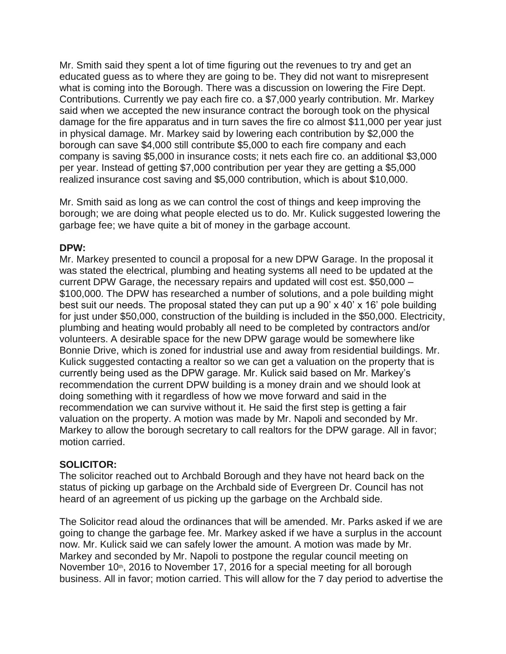Mr. Smith said they spent a lot of time figuring out the revenues to try and get an educated guess as to where they are going to be. They did not want to misrepresent what is coming into the Borough. There was a discussion on lowering the Fire Dept. Contributions. Currently we pay each fire co. a \$7,000 yearly contribution. Mr. Markey said when we accepted the new insurance contract the borough took on the physical damage for the fire apparatus and in turn saves the fire co almost \$11,000 per year just in physical damage. Mr. Markey said by lowering each contribution by \$2,000 the borough can save \$4,000 still contribute \$5,000 to each fire company and each company is saving \$5,000 in insurance costs; it nets each fire co. an additional \$3,000 per year. Instead of getting \$7,000 contribution per year they are getting a \$5,000 realized insurance cost saving and \$5,000 contribution, which is about \$10,000.

Mr. Smith said as long as we can control the cost of things and keep improving the borough; we are doing what people elected us to do. Mr. Kulick suggested lowering the garbage fee; we have quite a bit of money in the garbage account.

## **DPW:**

Mr. Markey presented to council a proposal for a new DPW Garage. In the proposal it was stated the electrical, plumbing and heating systems all need to be updated at the current DPW Garage, the necessary repairs and updated will cost est. \$50,000 – \$100,000. The DPW has researched a number of solutions, and a pole building might best suit our needs. The proposal stated they can put up a 90' x 40' x 16' pole building for just under \$50,000, construction of the building is included in the \$50,000. Electricity, plumbing and heating would probably all need to be completed by contractors and/or volunteers. A desirable space for the new DPW garage would be somewhere like Bonnie Drive, which is zoned for industrial use and away from residential buildings. Mr. Kulick suggested contacting a realtor so we can get a valuation on the property that is currently being used as the DPW garage. Mr. Kulick said based on Mr. Markey's recommendation the current DPW building is a money drain and we should look at doing something with it regardless of how we move forward and said in the recommendation we can survive without it. He said the first step is getting a fair valuation on the property. A motion was made by Mr. Napoli and seconded by Mr. Markey to allow the borough secretary to call realtors for the DPW garage. All in favor; motion carried.

# **SOLICITOR:**

The solicitor reached out to Archbald Borough and they have not heard back on the status of picking up garbage on the Archbald side of Evergreen Dr. Council has not heard of an agreement of us picking up the garbage on the Archbald side.

The Solicitor read aloud the ordinances that will be amended. Mr. Parks asked if we are going to change the garbage fee. Mr. Markey asked if we have a surplus in the account now. Mr. Kulick said we can safely lower the amount. A motion was made by Mr. Markey and seconded by Mr. Napoli to postpone the regular council meeting on November 10<sup>th</sup>, 2016 to November 17, 2016 for a special meeting for all borough business. All in favor; motion carried. This will allow for the 7 day period to advertise the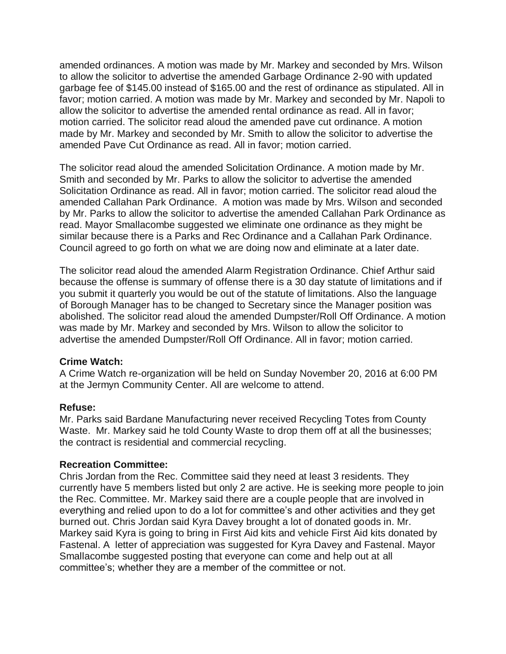amended ordinances. A motion was made by Mr. Markey and seconded by Mrs. Wilson to allow the solicitor to advertise the amended Garbage Ordinance 2-90 with updated garbage fee of \$145.00 instead of \$165.00 and the rest of ordinance as stipulated. All in favor; motion carried. A motion was made by Mr. Markey and seconded by Mr. Napoli to allow the solicitor to advertise the amended rental ordinance as read. All in favor; motion carried. The solicitor read aloud the amended pave cut ordinance. A motion made by Mr. Markey and seconded by Mr. Smith to allow the solicitor to advertise the amended Pave Cut Ordinance as read. All in favor; motion carried.

The solicitor read aloud the amended Solicitation Ordinance. A motion made by Mr. Smith and seconded by Mr. Parks to allow the solicitor to advertise the amended Solicitation Ordinance as read. All in favor; motion carried. The solicitor read aloud the amended Callahan Park Ordinance. A motion was made by Mrs. Wilson and seconded by Mr. Parks to allow the solicitor to advertise the amended Callahan Park Ordinance as read. Mayor Smallacombe suggested we eliminate one ordinance as they might be similar because there is a Parks and Rec Ordinance and a Callahan Park Ordinance. Council agreed to go forth on what we are doing now and eliminate at a later date.

The solicitor read aloud the amended Alarm Registration Ordinance. Chief Arthur said because the offense is summary of offense there is a 30 day statute of limitations and if you submit it quarterly you would be out of the statute of limitations. Also the language of Borough Manager has to be changed to Secretary since the Manager position was abolished. The solicitor read aloud the amended Dumpster/Roll Off Ordinance. A motion was made by Mr. Markey and seconded by Mrs. Wilson to allow the solicitor to advertise the amended Dumpster/Roll Off Ordinance. All in favor; motion carried.

## **Crime Watch:**

A Crime Watch re-organization will be held on Sunday November 20, 2016 at 6:00 PM at the Jermyn Community Center. All are welcome to attend.

## **Refuse:**

Mr. Parks said Bardane Manufacturing never received Recycling Totes from County Waste. Mr. Markey said he told County Waste to drop them off at all the businesses; the contract is residential and commercial recycling.

#### **Recreation Committee:**

Chris Jordan from the Rec. Committee said they need at least 3 residents. They currently have 5 members listed but only 2 are active. He is seeking more people to join the Rec. Committee. Mr. Markey said there are a couple people that are involved in everything and relied upon to do a lot for committee's and other activities and they get burned out. Chris Jordan said Kyra Davey brought a lot of donated goods in. Mr. Markey said Kyra is going to bring in First Aid kits and vehicle First Aid kits donated by Fastenal. A letter of appreciation was suggested for Kyra Davey and Fastenal. Mayor Smallacombe suggested posting that everyone can come and help out at all committee's; whether they are a member of the committee or not.